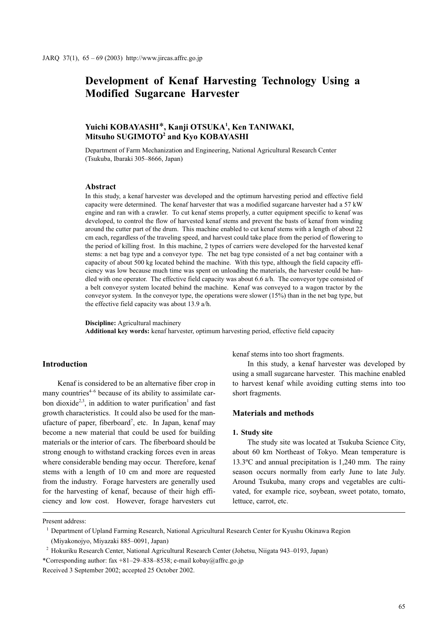# Development of Kenaf Harvesting Technology Using a Modified Sugarcane Harvester

# Yuichi KOBAYASHI<sup>\*</sup>, Kanii OTSUKA<sup>1</sup>, Ken TANIWAKI, Mitsuho SUGIMOTO<sup>2</sup> and Kvo KOBAYASHI

Department of Farm Mechanization and Engineering, National Agricultural Research Center (Tsukuba, Ibaraki 305–8666, Japan)

#### Abstract

In this study, a kenaf harvester was developed and the optimum harvesting period and effective field capacity were determined. The kenaf harvester that was a modified sugarcane harvester had a 57 kW engine and ran with a crawler. To cut kenaf stems properly, a cutter equipment specific to kenaf was developed, to control the flow of harvested kenaf stems and prevent the basts of kenaf from winding around the cutter part of the drum. This machine enabled to cut kenaf stems with a length of about 22 cm each, regardless of the traveling speed, and harvest could take place from the period of flowering to the period of killing frost. In this machine, 2 types of carriers were developed for the harvested kenaf stems: a net bag type and a conveyor type. The net bag type consisted of a net bag container with a capacity of about 500 kg located behind the machine. With this type, although the field capacity efficiency was low because much time was spent on unloading the materials, the harvester could be handled with one operator. The effective field capacity was about 6.6 a/h. The conveyor type consisted of a belt conveyor system located behind the machine. Kenaf was conveyed to a wagon tractor by the conveyor system. In the conveyor type, the operations were slower (15%) than in the net bag type, but the effective field capacity was about 13.9 a/h.

Discipline: Agricultural machinery Additional key words: kenaf harvester, optimum harvesting period, effective field capacity

# Introduction

Kenaf is considered to be an alternative fiber crop in many countries $4-6$  because of its ability to assimilate carbon dioxide<sup>2,3</sup>, in addition to water purification<sup>1</sup> and fast growth characteristics. It could also be used for the manufacture of paper, fiberboard<sup>7</sup>, etc. In Japan, kenaf may become a new material that could be used for building materials or the interior of cars. The fiberboard should be strong enough to withstand cracking forces even in areas where considerable bending may occur. Therefore, kenaf stems with a length of 10 cm and more are requested from the industry. Forage harvesters are generally used for the harvesting of kenaf, because of their high efficiency and low cost. However, forage harvesters cut

kenaf stems into too short fragments.

In this study, a kenaf harvester was developed by using a small sugarcane harvester. This machine enabled to harvest kenaf while avoiding cutting stems into too short fragments.

# Materials and methods

#### 1. Study site

The study site was located at Tsukuba Science City, about 60 km Northeast of Tokyo. Mean temperature is 13.3ºC and annual precipitation is 1,240 mm. The rainy season occurs normally from early June to late July. Around Tsukuba, many crops and vegetables are cultivated, for example rice, soybean, sweet potato, tomato, lettuce, carrot, etc.

Present address:

<sup>&</sup>lt;sup>1</sup> Department of Upland Farming Research, National Agricultural Research Center for Kyushu Okinawa Region (Miyakonojyo, Miyazaki 885–0091, Japan)

<sup>&</sup>lt;sup>2</sup> Hokuriku Research Center, National Agricultural Research Center (Johetsu, Niigata 943–0193, Japan)

<sup>\*</sup>Corresponding author: fax +81-29-838-8538; e-mail kobay@affrc.go.jp

Received 3 September 2002; accepted 25 October 2002.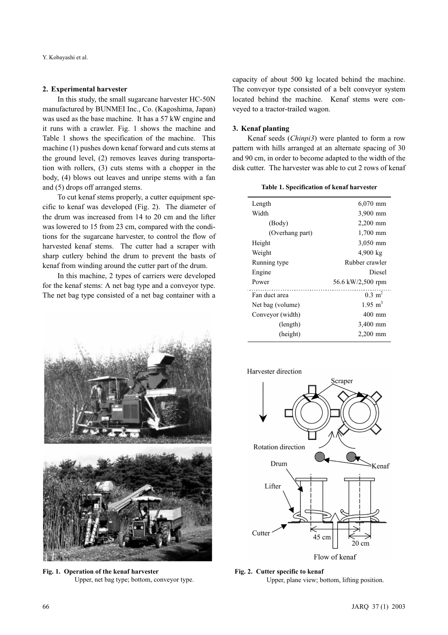#### 2. Experimental harvester

In this study, the small sugarcane harvester HC-50N manufactured by BUNMEI Inc., Co. (Kagoshima, Japan) was used as the base machine. It has a 57 kW engine and it runs with a crawler. Fig. 1 shows the machine and Table 1 shows the specification of the machine. This machine (1) pushes down kenaf forward and cuts stems at the ground level, (2) removes leaves during transportation with rollers, (3) cuts stems with a chopper in the body, (4) blows out leaves and unripe stems with a fan and (5) drops off arranged stems.

To cut kenaf stems properly, a cutter equipment specific to kenaf was developed (Fig. 2). The diameter of the drum was increased from 14 to 20 cm and the lifter was lowered to 15 from 23 cm, compared with the conditions for the sugarcane harvester, to control the flow of harvested kenaf stems. The cutter had a scraper with sharp cutlery behind the drum to prevent the basts of kenaf from winding around the cutter part of the drum.

In this machine, 2 types of carriers were developed for the kenaf stems: A net bag type and a conveyor type. The net bag type consisted of a net bag container with a



Fig. 1. Operation of the kenaf harvester Upper, net bag type; bottom, conveyor type.

capacity of about 500 kg located behind the machine. The conveyor type consisted of a belt conveyor system located behind the machine. Kenaf stems were conveyed to a tractor-trailed wagon.

#### 3. Kenaf planting

Kenaf seeds (Chinpi3) were planted to form a row pattern with hills arranged at an alternate spacing of 30 and 90 cm, in order to become adapted to the width of the disk cutter. The harvester was able to cut 2 rows of kenaf

|  |  | Table 1. Specification of kenaf harvester |  |  |
|--|--|-------------------------------------------|--|--|
|--|--|-------------------------------------------|--|--|

| Length           | $6,070$ mm            |  |
|------------------|-----------------------|--|
| Width            | 3,900 mm              |  |
| (Body)           | $2,200$ mm            |  |
| (Overhang part)  | $1,700$ mm            |  |
| Height           | 3,050 mm              |  |
| Weight           | $4,900 \text{ kg}$    |  |
| Running type     | Rubber crawler        |  |
| Engine           | Diesel                |  |
| Power            | 56.6 kW/2,500 rpm     |  |
| Fan duct area    | $0.3 \; \mathrm{m}^2$ |  |
| Net bag (volume) | $1.95 \text{ m}^3$    |  |
| Conveyor (width) | 400 mm                |  |
| (length)         | 3,400 mm              |  |
| (height)         | 2,200 mm              |  |





Fig. 2. Cutter specific to kenaf Upper, plane view; bottom, lifting position.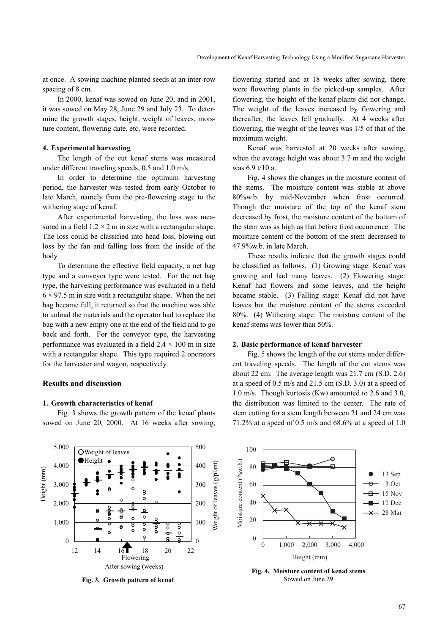at once. A sowing machine planted seeds at an inter-row spacing of 8 cm.

In 2000, kenaf was sowed on June 20, and in 2001, it was sowed on May 28, June 29 and July 23. To determine the growth stages, height, weight of leaves, moisture content, flowering date, etc. were recorded.

#### 4. Experimental harvesting

The length of the cut kenaf stems was measured under different traveling speeds, 0.5 and 1.0 m/s.

In order to determine the optimum harvesting period, the harvester was tested from early October to late March, namely from the pre-flowering stage to the withering stage of kenaf.

After experimental harvesting, the loss was measured in a field  $1.2 \times 2$  m in size with a rectangular shape. The loss could be classified into head loss, blowing out loss by the fan and falling loss from the inside of the body.

To determine the effective field capacity, a net bag type and a conveyor type were tested. For the net bag type, the harvesting performance was evaluated in a field  $6 \times 97.5$  m in size with a rectangular shape. When the net bag became full, it returned so that the machine was able to unload the materials and the operator had to replace the bag with a new empty one at the end of the field and to go back and forth. For the conveyor type, the harvesting performance was evaluated in a field  $2.4 \times 100$  m in size with a rectangular shape. This type required 2 operators for the harvester and wagon, respectively.

## Results and discussion

# 1. Growth characteristics of kenaf

Fig. 3 shows the growth pattern of the kenaf plants sowed on June 20, 2000. At 16 weeks after sowing, flowering started and at 18 weeks after sowing, there were flowering plants in the picked-up samples. After flowering, the height of the kenaf plants did not change. The weight of the leaves increased by flowering and thereafter, the leaves fell gradually. At 4 weeks after flowering, the weight of the leaves was 1/5 of that of the maximum weight.

Kenaf was harvested at 20 weeks after sowing, when the average height was about 3.7 m and the weight was 6.9 t/10 a.

Fig. 4 shows the changes in the moisture content of the stems. The moisture content was stable at above 80%w.b. by mid-November when frost occurred. Though the moisture of the top of the kenaf stem decreased by frost, the moisture content of the bottom of the stem was as high as that before frost occurrence. The moisture content of the bottom of the stem decreased to 47.9%w.b. in late March.

These results indicate that the growth stages could be classified as follows. (1) Growing stage: Kenaf was growing and had many leaves. (2) Flowering stage: Kenaf had flowers and some leaves, and the height became stable. (3) Falling stage: Kenaf did not have leaves but the moisture content of the stems exceeded 80%. (4) Withering stage: The moisture content of the kenaf stems was lower than 50%.

#### 2. Basic performance of kenaf harvester

Fig. 5 shows the length of the cut stems under different traveling speeds. The length of the cut stems was about 22 cm. The average length was 21.7 cm (S.D. 2.6) at a speed of 0.5 m/s and 21.5 cm (S.D. 3.0) at a speed of 1.0 m/s. Though kurtosis (Kw) amounted to 2.6 and 3.0, the distribution was limited to the center. The rate of stem cutting for a stem length between 21 and 24 cm was 71.2% at a speed of 0.5 m/s and 68.6% at a speed of 1.0



Fig. 3. Growth pattern of kenaf



Fig. 4. Moisture content of kenaf stems Sowed on June 29.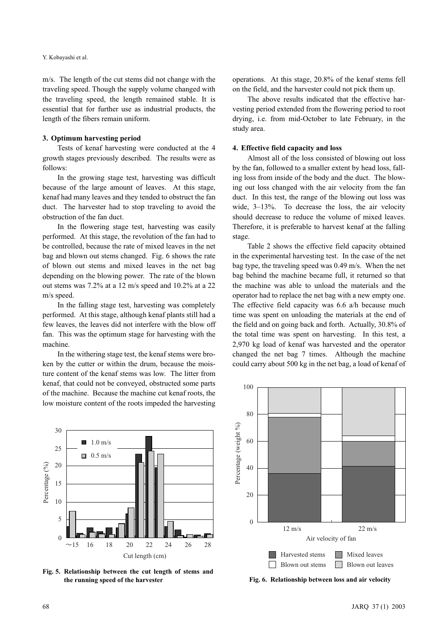m/s. The length of the cut stems did not change with the traveling speed. Though the supply volume changed with the traveling speed, the length remained stable. It is essential that for further use as industrial products, the length of the fibers remain uniform.

#### 3. Optimum harvesting period

Tests of kenaf harvesting were conducted at the 4 growth stages previously described. The results were as follows:

In the growing stage test, harvesting was difficult because of the large amount of leaves. At this stage, kenaf had many leaves and they tended to obstruct the fan duct. The harvester had to stop traveling to avoid the obstruction of the fan duct.

In the flowering stage test, harvesting was easily performed. At this stage, the revolution of the fan had to be controlled, because the rate of mixed leaves in the net bag and blown out stems changed. Fig. 6 shows the rate of blown out stems and mixed leaves in the net bag depending on the blowing power. The rate of the blown out stems was 7.2% at a 12 m/s speed and 10.2% at a 22 m/s speed.

In the falling stage test, harvesting was completely performed. At this stage, although kenaf plants still had a few leaves, the leaves did not interfere with the blow off fan. This was the optimum stage for harvesting with the machine.

In the withering stage test, the kenaf stems were broken by the cutter or within the drum, because the moisture content of the kenaf stems was low. The litter from kenaf, that could not be conveyed, obstructed some parts of the machine. Because the machine cut kenaf roots, the low moisture content of the roots impeded the harvesting operations. At this stage, 20.8% of the kenaf stems fell on the field, and the harvester could not pick them up.

The above results indicated that the effective harvesting period extended from the flowering period to root drying, i.e. from mid-October to late February, in the study area.

#### 4. Effective field capacity and loss

Almost all of the loss consisted of blowing out loss by the fan, followed to a smaller extent by head loss, falling loss from inside of the body and the duct. The blowing out loss changed with the air velocity from the fan duct. In this test, the range of the blowing out loss was wide, 3–13%. To decrease the loss, the air velocity should decrease to reduce the volume of mixed leaves. Therefore, it is preferable to harvest kenaf at the falling stage.

Table 2 shows the effective field capacity obtained in the experimental harvesting test. In the case of the net bag type, the traveling speed was 0.49 m/s. When the net bag behind the machine became full, it returned so that the machine was able to unload the materials and the operator had to replace the net bag with a new empty one. The effective field capacity was 6.6 a/h because much time was spent on unloading the materials at the end of the field and on going back and forth. Actually, 30.8% of the total time was spent on harvesting. In this test, a 2,970 kg load of kenaf was harvested and the operator changed the net bag 7 times. Although the machine could carry about 500 kg in the net bag, a load of kenaf of



Fig. 5. Relationship between the cut length of stems and the running speed of the harvester Fig. 6. Relationship between loss and air velocity